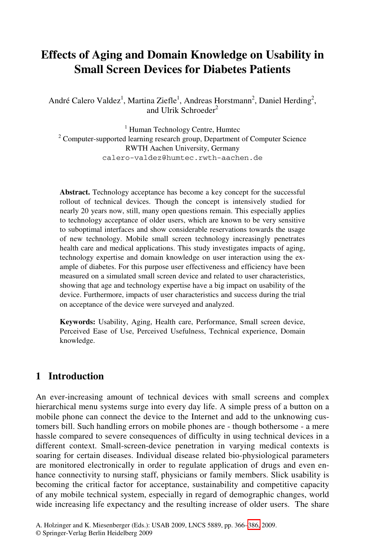# **Effects of Aging and Domain Knowledge on Usability in Small Screen Devices for Diabetes Patients**

André Calero Valdez<sup>1</sup>, Martina Ziefle<sup>1</sup>, Andreas Horstmann<sup>2</sup>, Daniel Herding<sup>2</sup>, and Ulrik Schroeder<sup>2</sup>

<sup>1</sup> Human Technology Centre, Humtec <sup>1</sup> Human Technology Centre, Humtec<br>
<sup>2</sup> Computer-supported learning research group, Department of Computer Science RWTH Aachen University, Germany calero-valdez@humtec.rwth-aachen.de

**Abstract.** Technology acceptance has become a key concept for the successful rollout of technical devices. Though the concept is intensively studied for nearly 20 years now, still, many open questions remain. This especially applies to technology acceptance of older users, which are known to be very sensitive to suboptimal interfaces and show considerable reservations towards the usage of new technology. Mobile small screen technology increasingly penetrates health care and medical applications. This study investigates impacts of aging, technology expertise and domain knowledge on user interaction using the example of diabetes. For this purpose user effectiveness and efficiency have been measured on a simulated small screen device and related to user characteristics, showing that age and technology expertise have a big impact on usability of the device. Furthermore, impacts of user characteristics and success during the trial on acceptance of the device were surveyed and analyzed.

**Keywords:** Usability, Aging, Health care, Performance, Small screen device, Perceived Ease of Use, Perceived Usefulness, Technical experience, Domain knowledge.

# **1 Introduction**

An ever-increasing amount of technical devices with small screens and complex hierarchical menu systems surge into every day life. A simple press of a button on a mobile phone can connect the device to the Internet and add to the unknowing customers bill. Such handling errors on mobile phones are - though bothersome - a mere hassle compared to severe consequences of difficulty in using technical devices in a different context. Small-screen-device [pene](#page-20-0)tration in varying medical contexts is soaring for certain diseases. Individual disease related bio-physiological parameters are monitored electronically in order to regulate application of drugs and even enhance connectivity to nursing staff, physicians or family members. Slick usability is becoming the critical factor for acceptance, sustainability and competitive capacity of any mobile technical system, especially in regard of demographic changes, world wide increasing life expectancy and the resulting increase of older users. The share

A. Holzinger and K. Miesenberger (Eds.): USAB 2009, LNCS 5889, pp. 366–386, 2009.

© Springer-Verlag Berlin Heidelberg 2009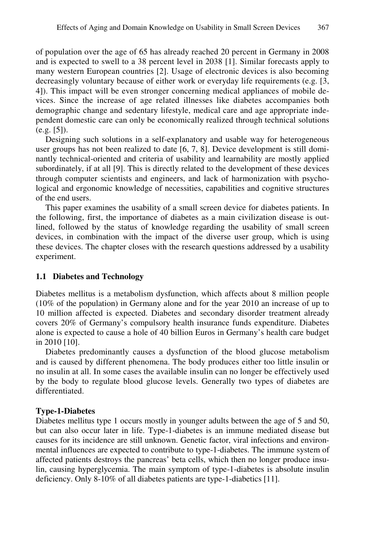of population over the age of 65 has already reached 20 percent in Germany in 2008 and is expected to swell to a 38 percent level in 2038 [1]. Similar forecasts apply to many western European countries [2]. Usage of electronic devices is also becoming decreasingly voluntary because of either work or everyday life requirements (e.g. [3, 4]). This impact will be even stronger concerning medical appliances of mobile devices. Since the increase of age related illnesses like diabetes accompanies both demographic change and sedentary lifestyle, medical care and age appropriate independent domestic care can only be economically realized through technical solutions  $(e.g. [5])$ .

Designing such solutions in a self-explanatory and usable way for heterogeneous user groups has not been realized to date [6, 7, 8]. Device development is still dominantly technical-oriented and criteria of usability and learnability are mostly applied subordinately, if at all [9]. This is directly related to the development of these devices through computer scientists and engineers, and lack of harmonization with psychological and ergonomic knowledge of necessities, capabilities and cognitive structures of the end users.

This paper examines the usability of a small screen device for diabetes patients. In the following, first, the importance of diabetes as a main civilization disease is outlined, followed by the status of knowledge regarding the usability of small screen devices, in combination with the impact of the diverse user group, which is using these devices. The chapter closes with the research questions addressed by a usability experiment.

#### **1.1 Diabetes and Technology**

Diabetes mellitus is a metabolism dysfunction, which affects about 8 million people (10% of the population) in Germany alone and for the year 2010 an increase of up to 10 million affected is expected. Diabetes and secondary disorder treatment already covers 20% of Germany's compulsory health insurance funds expenditure. Diabetes alone is expected to cause a hole of 40 billion Euros in Germany's health care budget in 2010 [10].

Diabetes predominantly causes a dysfunction of the blood glucose metabolism and is caused by different phenomena. The body produces either too little insulin or no insulin at all. In some cases the available insulin can no longer be effectively used by the body to regulate blood glucose levels. Generally two types of diabetes are differentiated.

#### **Type-1-Diabetes**

Diabetes mellitus type 1 occurs mostly in younger adults between the age of 5 and 50, but can also occur later in life. Type-1-diabetes is an immune mediated disease but causes for its incidence are still unknown. Genetic factor, viral infections and environmental influences are expected to contribute to type-1-diabetes. The immune system of affected patients destroys the pancreas' beta cells, which then no longer produce insulin, causing hyperglycemia. The main symptom of type-1-diabetes is absolute insulin deficiency. Only 8-10% of all diabetes patients are type-1-diabetics [11].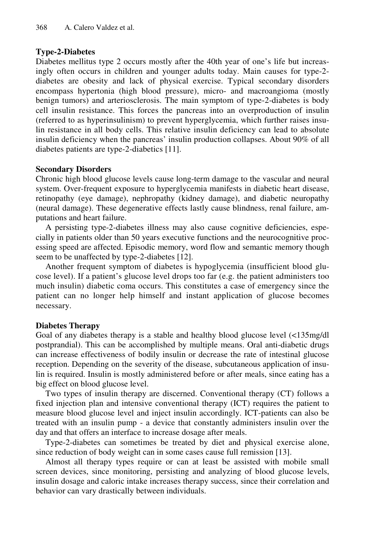## **Type-2-Diabetes**

Diabetes mellitus type 2 occurs mostly after the 40th year of one's life but increasingly often occurs in children and younger adults today. Main causes for type-2 diabetes are obesity and lack of physical exercise. Typical secondary disorders encompass hypertonia (high blood pressure), micro- and macroangioma (mostly benign tumors) and arteriosclerosis. The main symptom of type-2-diabetes is body cell insulin resistance. This forces the pancreas into an overproduction of insulin (referred to as hyperinsulinism) to prevent hyperglycemia, which further raises insulin resistance in all body cells. This relative insulin deficiency can lead to absolute insulin deficiency when the pancreas' insulin production collapses. About 90% of all diabetes patients are type-2-diabetics [11].

## **Secondary Disorders**

Chronic high blood glucose levels cause long-term damage to the vascular and neural system. Over-frequent exposure to hyperglycemia manifests in diabetic heart disease, retinopathy (eye damage), nephropathy (kidney damage), and diabetic neuropathy (neural damage). These degenerative effects lastly cause blindness, renal failure, amputations and heart failure.

A persisting type-2-diabetes illness may also cause cognitive deficiencies, especially in patients older than 50 years executive functions and the neurocognitive processing speed are affected. Episodic memory, word flow and semantic memory though seem to be unaffected by type-2-diabetes [12].

Another frequent symptom of diabetes is hypoglycemia (insufficient blood glucose level). If a patient's glucose level drops too far (e.g. the patient administers too much insulin) diabetic coma occurs. This constitutes a case of emergency since the patient can no longer help himself and instant application of glucose becomes necessary.

## **Diabetes Therapy**

Goal of any diabetes therapy is a stable and healthy blood glucose level (<135mg/dl postprandial). This can be accomplished by multiple means. Oral anti-diabetic drugs can increase effectiveness of bodily insulin or decrease the rate of intestinal glucose reception. Depending on the severity of the disease, subcutaneous application of insulin is required. Insulin is mostly administered before or after meals, since eating has a big effect on blood glucose level.

Two types of insulin therapy are discerned. Conventional therapy (CT) follows a fixed injection plan and intensive conventional therapy (ICT) requires the patient to measure blood glucose level and inject insulin accordingly. ICT-patients can also be treated with an insulin pump - a device that constantly administers insulin over the day and that offers an interface to increase dosage after meals.

Type-2-diabetes can sometimes be treated by diet and physical exercise alone, since reduction of body weight can in some cases cause full remission [13].

Almost all therapy types require or can at least be assisted with mobile small screen devices, since monitoring, persisting and analyzing of blood glucose levels, insulin dosage and caloric intake increases therapy success, since their correlation and behavior can vary drastically between individuals.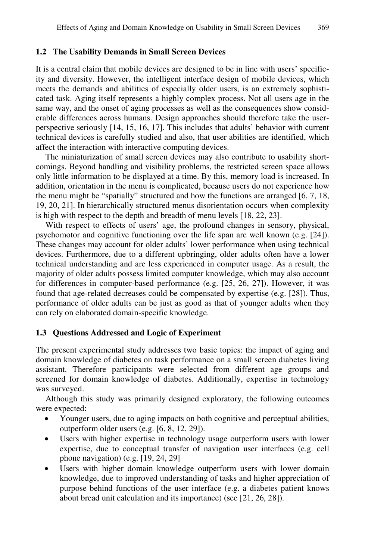#### **1.2 The Usability Demands in Small Screen Devices**

It is a central claim that mobile devices are designed to be in line with users' specificity and diversity. However, the intelligent interface design of mobile devices, which meets the demands and abilities of especially older users, is an extremely sophisticated task. Aging itself represents a highly complex process. Not all users age in the same way, and the onset of aging processes as well as the consequences show considerable differences across humans. Design approaches should therefore take the userperspective seriously [14, 15, 16, 17]. This includes that adults' behavior with current technical devices is carefully studied and also, that user abilities are identified, which affect the interaction with interactive computing devices.

The miniaturization of small screen devices may also contribute to usability shortcomings. Beyond handling and visibility problems, the restricted screen space allows only little information to be displayed at a time. By this, memory load is increased. In addition, orientation in the menu is complicated, because users do not experience how the menu might be "spatially" structured and how the functions are arranged [6, 7, 18, 19, 20, 21]. In hierarchically structured menus disorientation occurs when complexity is high with respect to the depth and breadth of menu levels [18, 22, 23].

With respect to effects of users' age, the profound changes in sensory, physical, psychomotor and cognitive functioning over the life span are well known (e.g. [24]). These changes may account for older adults' lower performance when using technical devices. Furthermore, due to a different upbringing, older adults often have a lower technical understanding and are less experienced in computer usage. As a result, the majority of older adults possess limited computer knowledge, which may also account for differences in computer-based performance (e.g. [25, 26, 27]). However, it was found that age-related decreases could be compensated by expertise (e.g. [28]). Thus, performance of older adults can be just as good as that of younger adults when they can rely on elaborated domain-specific knowledge.

#### **1.3 Questions Addressed and Logic of Experiment**

The present experimental study addresses two basic topics: the impact of aging and domain knowledge of diabetes on task performance on a small screen diabetes living assistant. Therefore participants were selected from different age groups and screened for domain knowledge of diabetes. Additionally, expertise in technology was surveyed.

Although this study was primarily designed exploratory, the following outcomes were expected:

- Younger users, due to aging impacts on both cognitive and perceptual abilities, outperform older users (e.g. [6, 8, 12, 29]).
- Users with higher expertise in technology usage outperform users with lower expertise, due to conceptual transfer of navigation user interfaces (e.g. cell phone navigation) (e.g. [19, 24, 29]
- Users with higher domain knowledge outperform users with lower domain knowledge, due to improved understanding of tasks and higher appreciation of purpose behind functions of the user interface (e.g. a diabetes patient knows about bread unit calculation and its importance) (see [21, 26, 28]).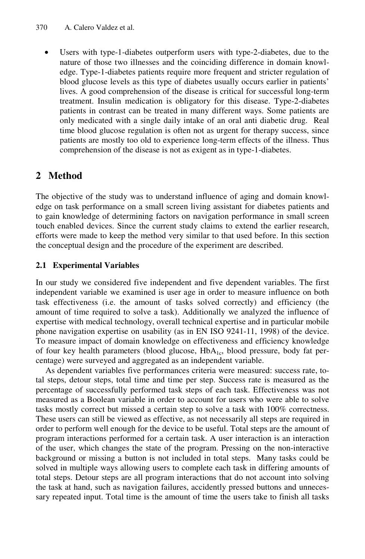Users with type-1-diabetes outperform users with type-2-diabetes, due to the nature of those two illnesses and the coinciding difference in domain knowledge. Type-1-diabetes patients require more frequent and stricter regulation of blood glucose levels as this type of diabetes usually occurs earlier in patients' lives. A good comprehension of the disease is critical for successful long-term treatment. Insulin medication is obligatory for this disease. Type-2-diabetes patients in contrast can be treated in many different ways. Some patients are only medicated with a single daily intake of an oral anti diabetic drug. Real time blood glucose regulation is often not as urgent for therapy success, since patients are mostly too old to experience long-term effects of the illness. Thus comprehension of the disease is not as exigent as in type-1-diabetes.

# **2 Method**

The objective of the study was to understand influence of aging and domain knowledge on task performance on a small screen living assistant for diabetes patients and to gain knowledge of determining factors on navigation performance in small screen touch enabled devices. Since the current study claims to extend the earlier research, efforts were made to keep the method very similar to that used before. In this section the conceptual design and the procedure of the experiment are described.

# **2.1 Experimental Variables**

In our study we considered five independent and five dependent variables. The first independent variable we examined is user age in order to measure influence on both task effectiveness (i.e. the amount of tasks solved correctly) and efficiency (the amount of time required to solve a task). Additionally we analyzed the influence of expertise with medical technology, overall technical expertise and in particular mobile phone navigation expertise on usability (as in EN ISO 9241-11, 1998) of the device. To measure impact of domain knowledge on effectiveness and efficiency knowledge of four key health parameters (blood glucose,  $HbA_{1c}$ , blood pressure, body fat percentage) were surveyed and aggregated as an independent variable.

As dependent variables five performances criteria were measured: success rate, total steps, detour steps, total time and time per step. Success rate is measured as the percentage of successfully performed task steps of each task. Effectiveness was not measured as a Boolean variable in order to account for users who were able to solve tasks mostly correct but missed a certain step to solve a task with 100% correctness. These users can still be viewed as effective, as not necessarily all steps are required in order to perform well enough for the device to be useful. Total steps are the amount of program interactions performed for a certain task. A user interaction is an interaction of the user, which changes the state of the program. Pressing on the non-interactive background or missing a button is not included in total steps. Many tasks could be solved in multiple ways allowing users to complete each task in differing amounts of total steps. Detour steps are all program interactions that do not account into solving the task at hand, such as navigation failures, accidently pressed buttons and unnecessary repeated input. Total time is the amount of time the users take to finish all tasks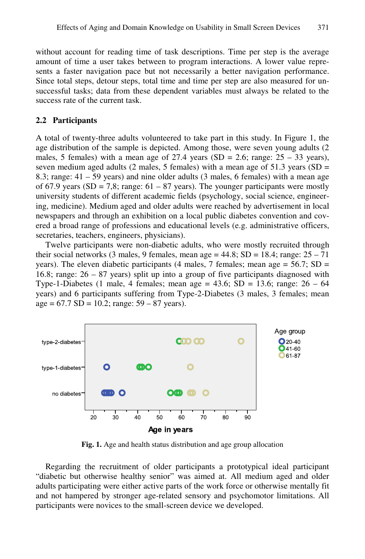without account for reading time of task descriptions. Time per step is the average amount of time a user takes between to program interactions. A lower value represents a faster navigation pace but not necessarily a better navigation performance. Since total steps, detour steps, total time and time per step are also measured for unsuccessful tasks; data from these dependent variables must always be related to the success rate of the current task.

#### **2.2 Participants**

A total of twenty-three adults volunteered to take part in this study. In Figure 1, the age distribution of the sample is depicted. Among those, were seven young adults (2 males, 5 females) with a mean age of 27.4 years (SD = 2.6; range:  $25 - 33$  years), seven medium aged adults (2 males, 5 females) with a mean age of  $51.3$  years (SD = 8.3; range: 41 – 59 years) and nine older adults (3 males, 6 females) with a mean age of 67.9 years (SD = 7,8; range:  $61 - 87$  years). The younger participants were mostly university students of different academic fields (psychology, social science, engineering, medicine). Medium aged and older adults were reached by advertisement in local newspapers and through an exhibition on a local public diabetes convention and covered a broad range of professions and educational levels (e.g. administrative officers, secretaries, teachers, engineers, physicians).

Twelve participants were non-diabetic adults, who were mostly recruited through their social networks (3 males, 9 females, mean age  $= 44.8$ ; SD  $= 18.4$ ; range:  $25 - 71$ years). The eleven diabetic participants (4 males, 7 females; mean age =  $56.7$ ; SD = 16.8; range: 26 – 87 years) split up into a group of five participants diagnosed with Type-1-Diabetes (1 male, 4 females; mean age =  $43.6$ ; SD =  $13.6$ ; range:  $26 - 64$ years) and 6 participants suffering from Type-2-Diabetes (3 males, 3 females; mean  $age = 67.7 SD = 10.2$ ; range:  $59 - 87$  years).



**Fig. 1.** Age and health status distribution and age group allocation

Regarding the recruitment of older participants a prototypical ideal participant "diabetic but otherwise healthy senior" was aimed at. All medium aged and older adults participating were either active parts of the work force or otherwise mentally fit and not hampered by stronger age-related sensory and psychomotor limitations. All participants were novices to the small-screen device we developed.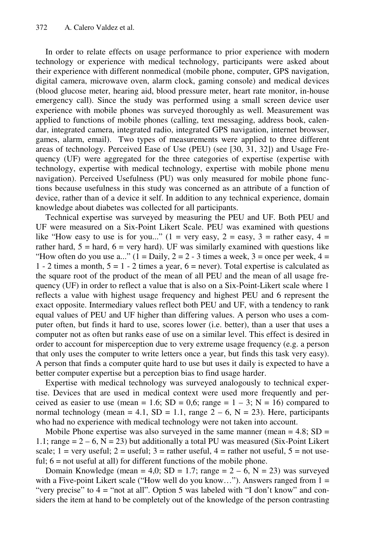In order to relate effects on usage performance to prior experience with modern technology or experience with medical technology, participants were asked about their experience with different nonmedical (mobile phone, computer, GPS navigation, digital camera, microwave oven, alarm clock, gaming console) and medical devices (blood glucose meter, hearing aid, blood pressure meter, heart rate monitor, in-house emergency call). Since the study was performed using a small screen device user experience with mobile phones was surveyed thoroughly as well. Measurement was applied to functions of mobile phones (calling, text messaging, address book, calendar, integrated camera, integrated radio, integrated GPS navigation, internet browser, games, alarm, email). Two types of measurements were applied to three different areas of technology. Perceived Ease of Use (PEU) (see [30, 31, 32]) and Usage Frequency (UF) were aggregated for the three categories of expertise (expertise with technology, expertise with medical technology, expertise with mobile phone menu navigation). Perceived Usefulness (PU) was only measured for mobile phone functions because usefulness in this study was concerned as an attribute of a function of device, rather than of a device it self. In addition to any technical experience, domain knowledge about diabetes was collected for all participants.

Technical expertise was surveyed by measuring the PEU and UF. Both PEU and UF were measured on a Six-Point Likert Scale. PEU was examined with questions like "How easy to use is for you..."  $(1 = \text{very easy}, 2 = \text{easy}, 3 = \text{rather easy}, 4 = \text{query})$ rather hard,  $5 =$  hard,  $6 =$  very hard). UF was similarly examined with questions like "How often do you use a..."  $(1 = Daily, 2 = 2 - 3$  times a week,  $3 = once per week, 4 =$ 1 - 2 times a month,  $5 = 1 - 2$  times a year,  $6 =$  never). Total expertise is calculated as the square root of the product of the mean of all PEU and the mean of all usage frequency (UF) in order to reflect a value that is also on a Six-Point-Likert scale where 1 reflects a value with highest usage frequency and highest PEU and 6 represent the exact opposite. Intermediary values reflect both PEU and UF, with a tendency to rank equal values of PEU and UF higher than differing values. A person who uses a computer often, but finds it hard to use, scores lower (i.e. better), than a user that uses a computer not as often but ranks ease of use on a similar level. This effect is desired in order to account for misperception due to very extreme usage frequency (e.g. a person that only uses the computer to write letters once a year, but finds this task very easy). A person that finds a computer quite hard to use but uses it daily is expected to have a better computer expertise but a perception bias to find usage harder.

Expertise with medical technology was surveyed analogously to technical expertise. Devices that are used in medical context were used more frequently and perceived as easier to use (mean = 1.6;  $SD = 0.6$ ; range =  $1 - 3$ ;  $N = 16$ ) compared to normal technology (mean = 4.1, SD = 1.1, range  $2 - 6$ , N = 23). Here, participants who had no experience with medical technology were not taken into account.

Mobile Phone expertise was also surveyed in the same manner (mean  $= 4.8$ ; SD  $=$ 1.1; range =  $2 - 6$ , N = 23) but additionally a total PU was measured (Six-Point Likert scale;  $1 = \text{very useful}; 2 = \text{useful}; 3 = \text{rather useful}, 4 = \text{rather not useful}, 5 = \text{not use-}$ ful;  $6 =$  not useful at all) for different functions of the mobile phone.

Domain Knowledge (mean = 4,0; SD = 1.7; range =  $2 - 6$ , N = 23) was surveyed with a Five-point Likert scale ("How well do you know..."). Answers ranged from  $1 =$ "very precise" to  $4 =$  "not at all". Option 5 was labeled with "I don't know" and considers the item at hand to be completely out of the knowledge of the person contrasting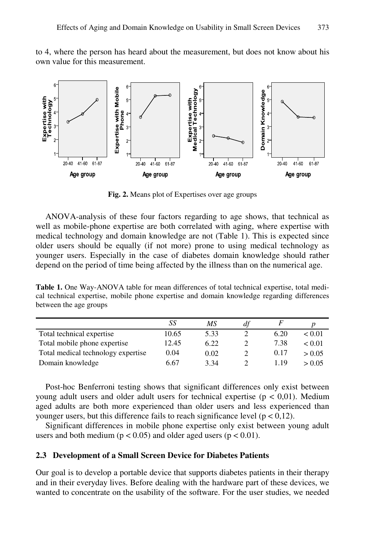to 4, where the person has heard about the measurement, but does not know about his own value for this measurement.



**Fig. 2.** Means plot of Expertises over age groups

ANOVA-analysis of these four factors regarding to age shows, that technical as well as mobile-phone expertise are both correlated with aging, where expertise with medical technology and domain knowledge are not (Table 1). This is expected since older users should be equally (if not more) prone to using medical technology as younger users. Especially in the case of diabetes domain knowledge should rather depend on the period of time being affected by the illness than on the numerical age.

**Table 1.** One Way-ANOVA table for mean differences of total technical expertise, total medical technical expertise, mobile phone expertise and domain knowledge regarding differences between the age groups

|                                    | SS    | МS   | df |      |        |
|------------------------------------|-------|------|----|------|--------|
| Total technical expertise          | 10.65 | 5.33 |    | 6.20 | < 0.01 |
| Total mobile phone expertise       | 12.45 | 6.22 |    | 7.38 | < 0.01 |
| Total medical technology expertise | 0.04  | 0.02 |    | 0.17 | > 0.05 |
| Domain knowledge                   | 6.67  | 3.34 |    | 1.19 | > 0.05 |

Post-hoc Benferroni testing shows that significant differences only exist between young adult users and older adult users for technical expertise ( $p < 0.01$ ). Medium aged adults are both more experienced than older users and less experienced than younger users, but this difference fails to reach significance level ( $p < 0.12$ ).

Significant differences in mobile phone expertise only exist between young adult users and both medium ( $p < 0.05$ ) and older aged users ( $p < 0.01$ ).

### **2.3 Development of a Small Screen Device for Diabetes Patients**

Our goal is to develop a portable device that supports diabetes patients in their therapy and in their everyday lives. Before dealing with the hardware part of these devices, we wanted to concentrate on the usability of the software. For the user studies, we needed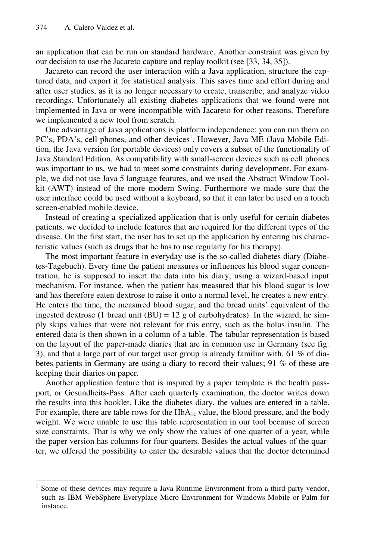l

an application that can be run on standard hardware. Another constraint was given by our decision to use the Jacareto capture and replay toolkit (see [33, 34, 35]).

Jacareto can record the user interaction with a Java application, structure the captured data, and export it for statistical analysis. This saves time and effort during and after user studies, as it is no longer necessary to create, transcribe, and analyze video recordings. Unfortunately all existing diabetes applications that we found were not implemented in Java or were incompatible with Jacareto for other reasons. Therefore we implemented a new tool from scratch.

One advantage of Java applications is platform independence: you can run them on PC's, PDA's, cell phones, and other devices<sup>1</sup>. However, Java ME (Java Mobile Edition, the Java version for portable devices) only covers a subset of the functionality of Java Standard Edition. As compatibility with small-screen devices such as cell phones was important to us, we had to meet some constraints during development. For example, we did not use Java 5 language features, and we used the Abstract Window Toolkit (AWT) instead of the more modern Swing. Furthermore we made sure that the user interface could be used without a keyboard, so that it can later be used on a touch screen-enabled mobile device.

Instead of creating a specialized application that is only useful for certain diabetes patients, we decided to include features that are required for the different types of the disease. On the first start, the user has to set up the application by entering his characteristic values (such as drugs that he has to use regularly for his therapy).

The most important feature in everyday use is the so-called diabetes diary (Diabetes-Tagebuch). Every time the patient measures or influences his blood sugar concentration, he is supposed to insert the data into his diary, using a wizard-based input mechanism. For instance, when the patient has measured that his blood sugar is low and has therefore eaten dextrose to raise it onto a normal level, he creates a new entry. He enters the time, the measured blood sugar, and the bread units' equivalent of the ingested dextrose (1 bread unit  $(BU) = 12$  g of carbohydrates). In the wizard, he simply skips values that were not relevant for this entry, such as the bolus insulin. The entered data is then shown in a column of a table. The tabular representation is based on the layout of the paper-made diaries that are in common use in Germany (see fig. 3), and that a large part of our target user group is already familiar with. 61 % of diabetes patients in Germany are using a diary to record their values; 91 % of these are keeping their diaries on paper.

Another application feature that is inspired by a paper template is the health passport, or Gesundheits-Pass. After each quarterly examination, the doctor writes down the results into this booklet. Like the diabetes diary, the values are entered in a table. For example, there are table rows for the  $HbA_{1c}$  value, the blood pressure, and the body weight. We were unable to use this table representation in our tool because of screen size constraints. That is why we only show the values of one quarter of a year, while the paper version has columns for four quarters. Besides the actual values of the quarter, we offered the possibility to enter the desirable values that the doctor determined

<sup>1</sup> Some of these devices may require a Java Runtime Environment from a third party vendor, such as IBM WebSphere Everyplace Micro Environment for Windows Mobile or Palm for instance.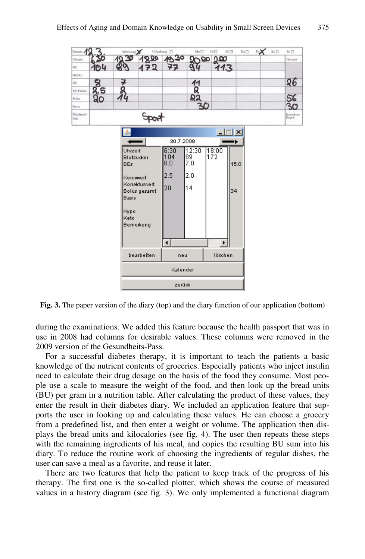

**Fig. 3.** The paper version of the diary (top) and the diary function of our application (bottom)

during the examinations. We added this feature because the health passport that was in use in 2008 had columns for desirable values. These columns were removed in the 2009 version of the Gesundheits-Pass.

For a successful diabetes therapy, it is important to teach the patients a basic knowledge of the nutrient contents of groceries. Especially patients who inject insulin need to calculate their drug dosage on the basis of the food they consume. Most people use a scale to measure the weight of the food, and then look up the bread units (BU) per gram in a nutrition table. After calculating the product of these values, they enter the result in their diabetes diary. We included an application feature that supports the user in looking up and calculating these values. He can choose a grocery from a predefined list, and then enter a weight or volume. The application then displays the bread units and kilocalories (see fig. 4). The user then repeats these steps with the remaining ingredients of his meal, and copies the resulting BU sum into his diary. To reduce the routine work of choosing the ingredients of regular dishes, the user can save a meal as a favorite, and reuse it later.

There are two features that help the patient to keep track of the progress of his therapy. The first one is the so-called plotter, which shows the course of measured values in a history diagram (see fig. 3). We only implemented a functional diagram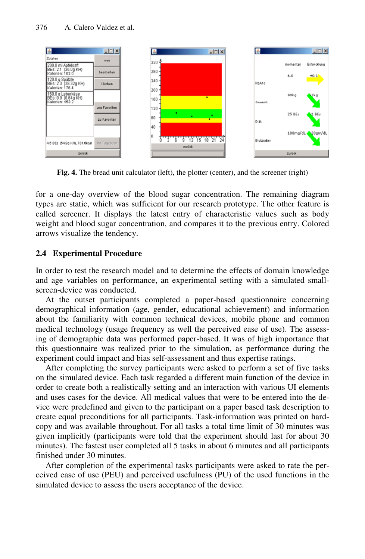

Fig. 4. The bread unit calculator (left), the plotter (center), and the screener (right)

for a one-day overview of the blood sugar concentration. The remaining diagram types are static, which was sufficient for our research prototype. The other feature is called screener. It displays the latest entry of characteristic values such as body weight and blood sugar concentration, and compares it to the previous entry. Colored arrows visualize the tendency.

### **2.4 Experimental Procedure**

In order to test the research model and to determine the effects of domain knowledge and age variables on performance, an experimental setting with a simulated smallscreen-device was conducted.

At the outset participants completed a paper-based questionnaire concerning demographical information (age, gender, educational achievement) and information about the familiarity with common technical devices, mobile phone and common medical technology (usage frequency as well the perceived ease of use). The assessing of demographic data was performed paper-based. It was of high importance that this questionnaire was realized prior to the simulation, as performance during the experiment could impact and bias self-assessment and thus expertise ratings.

After completing the survey participants were asked to perform a set of five tasks on the simulated device. Each task regarded a different main function of the device in order to create both a realistically setting and an interaction with various UI elements and uses cases for the device. All medical values that were to be entered into the device were predefined and given to the participant on a paper based task description to create equal preconditions for all participants. Task-information was printed on hardcopy and was available throughout. For all tasks a total time limit of 30 minutes was given implicitly (participants were told that the experiment should last for about 30 minutes). The fastest user completed all 5 tasks in about 6 minutes and all participants finished under 30 minutes.

After completion of the experimental tasks participants were asked to rate the perceived ease of use (PEU) and perceived usefulness (PU) of the used functions in the simulated device to assess the users acceptance of the device.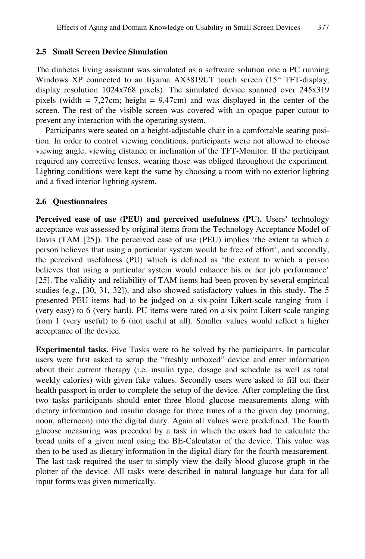### **2.5 Small Screen Device Simulation**

The diabetes living assistant was simulated as a software solution one a PC running Windows XP connected to an Iiyama AX3819UT touch screen (15" TFT-display, display resolution 1024x768 pixels). The simulated device spanned over 245x319 pixels (width  $= 7,27$ cm; height  $= 9,47$ cm) and was displayed in the center of the screen. The rest of the visible screen was covered with an opaque paper cutout to prevent any interaction with the operating system.

Participants were seated on a height-adjustable chair in a comfortable seating position. In order to control viewing conditions, participants were not allowed to choose viewing angle, viewing distance or inclination of the TFT-Monitor. If the participant required any corrective lenses, wearing those was obliged throughout the experiment. Lighting conditions were kept the same by choosing a room with no exterior lighting and a fixed interior lighting system.

### **2.6 Questionnaires**

**Perceived ease of use (PEU) and perceived usefulness (PU).** Users' technology acceptance was assessed by original items from the Technology Acceptance Model of Davis (TAM [25]). The perceived ease of use (PEU) implies 'the extent to which a person believes that using a particular system would be free of effort', and secondly, the perceived usefulness (PU) which is defined as 'the extent to which a person believes that using a particular system would enhance his or her job performance' [25]. The validity and reliability of TAM items had been proven by several empirical studies (e.g., [30, 31, 32]), and also showed satisfactory values in this study. The 5 presented PEU items had to be judged on a six-point Likert-scale ranging from 1 (very easy) to 6 (very hard). PU items were rated on a six point Likert scale ranging from 1 (very useful) to 6 (not useful at all). Smaller values would reflect a higher acceptance of the device.

**Experimental tasks.** Five Tasks were to be solved by the participants. In particular users were first asked to setup the "freshly unboxed" device and enter information about their current therapy (i.e. insulin type, dosage and schedule as well as total weekly calories) with given fake values. Secondly users were asked to fill out their health passport in order to complete the setup of the device. After completing the first two tasks participants should enter three blood glucose measurements along with dietary information and insulin dosage for three times of a the given day (morning, noon, afternoon) into the digital diary. Again all values were predefined. The fourth glucose measuring was preceded by a task in which the users had to calculate the bread units of a given meal using the BE-Calculator of the device. This value was then to be used as dietary information in the digital diary for the fourth measurement. The last task required the user to simply view the daily blood glucose graph in the plotter of the device. All tasks were described in natural language but data for all input forms was given numerically.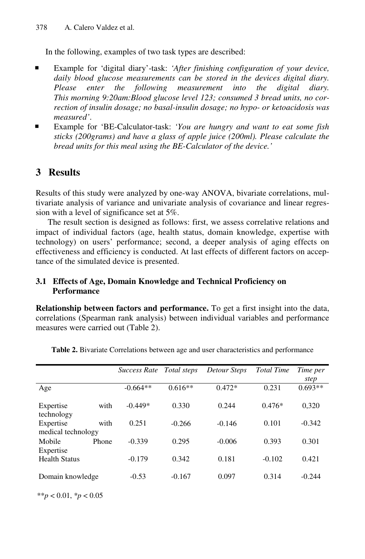In the following, examples of two task types are described:

- Example for 'digital diary'-task: '*After finishing configuration of your device*, *daily blood glucose measurements can be stored in the devices digital diary. Please enter the following measurement into the digital diary. This morning 9:20am:Blood glucose level 123; consumed 3 bread units, no correction of insulin dosage; no basal-insulin dosage; no hypo- or ketoacidosis was measured'*.
- Example for 'BE-Calculator-task: '*You are hungry and want to eat some fish sticks (200grams) and have a glass of apple juice (200ml). Please calculate the bread units for this meal using the BE-Calculator of the device.'*

# **3 Results**

Results of this study were analyzed by one-way ANOVA, bivariate correlations, multivariate analysis of variance and univariate analysis of covariance and linear regression with a level of significance set at 5%.

The result section is designed as follows: first, we assess correlative relations and impact of individual factors (age, health status, domain knowledge, expertise with technology) on users' performance; second, a deeper analysis of aging effects on effectiveness and efficiency is conducted. At last effects of different factors on acceptance of the simulated device is presented.

## **3.1 Effects of Age, Domain Knowledge and Technical Proficiency on Performance**

**Relationship between factors and performance.** To get a first insight into the data, correlations (Spearman rank analysis) between individual variables and performance measures were carried out (Table 2).

|                                 |       | Success Rate Total steps |           | Detour Steps | <b>Total Time</b> | Time per<br>step |
|---------------------------------|-------|--------------------------|-----------|--------------|-------------------|------------------|
| Age                             |       | $-0.664**$               | $0.616**$ | $0.472*$     | 0.231             | $0.693**$        |
| Expertise<br>technology         | with  | $-0.449*$                | 0.330     | 0.244        | $0.476*$          | 0.320            |
| Expertise<br>medical technology | with  | 0.251                    | $-0.266$  | $-0.146$     | 0.101             | $-0.342$         |
| Mobile<br>Expertise             | Phone | $-0.339$                 | 0.295     | $-0.006$     | 0.393             | 0.301            |
| <b>Health Status</b>            |       | $-0.179$                 | 0.342     | 0.181        | $-0.102$          | 0.421            |
| Domain knowledge                |       | $-0.53$                  | $-0.167$  | 0.097        | 0.314             | $-0.244$         |

**Table 2.** Bivariate Correlations between age and user characteristics and performance

\*\**p* < 0.01, \**p* < 0.05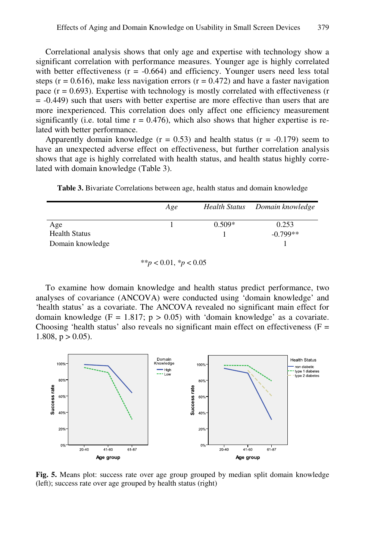Correlational analysis shows that only age and expertise with technology show a significant correlation with performance measures. Younger age is highly correlated with better effectiveness  $(r = -0.664)$  and efficiency. Younger users need less total steps ( $r = 0.616$ ), make less navigation errors ( $r = 0.472$ ) and have a faster navigation pace  $(r = 0.693)$ . Expertise with technology is mostly correlated with effectiveness (r = -0.449) such that users with better expertise are more effective than users that are more inexperienced. This correlation does only affect one efficiency measurement significantly (i.e. total time  $r = 0.476$ ), which also shows that higher expertise is related with better performance.

Apparently domain knowledge ( $r = 0.53$ ) and health status ( $r = -0.179$ ) seem to have an unexpected adverse effect on effectiveness, but further correlation analysis shows that age is highly correlated with health status, and health status highly correlated with domain knowledge (Table 3).

**Table 3.** Bivariate Correlations between age, health status and domain knowledge

|                      | Age |          | Health Status Domain knowledge |
|----------------------|-----|----------|--------------------------------|
| Age                  |     | $0.509*$ | 0.253                          |
| <b>Health Status</b> |     |          | $-0.799**$                     |
| Domain knowledge     |     |          |                                |

\*\**p* < 0.01, \**p* < 0.05

To examine how domain knowledge and health status predict performance, two analyses of covariance (ANCOVA) were conducted using 'domain knowledge' and 'health status' as a covariate. The ANCOVA revealed no significant main effect for domain knowledge ( $F = 1.817$ ;  $p > 0.05$ ) with 'domain knowledge' as a covariate. Choosing 'health status' also reveals no significant main effect on effectiveness  $(F =$ 1.808,  $p > 0.05$ ).



**Fig. 5.** Means plot: success rate over age group grouped by median split domain knowledge (left); success rate over age grouped by health status (right)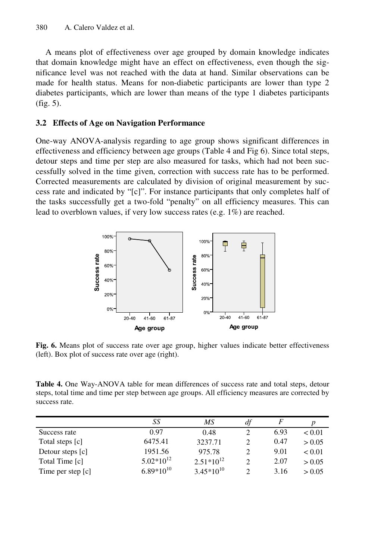A means plot of effectiveness over age grouped by domain knowledge indicates that domain knowledge might have an effect on effectiveness, even though the significance level was not reached with the data at hand. Similar observations can be made for health status. Means for non-diabetic participants are lower than type 2 diabetes participants, which are lower than means of the type 1 diabetes participants (fig. 5).

## **3.2 Effects of Age on Navigation Performance**

One-way ANOVA-analysis regarding to age group shows significant differences in effectiveness and efficiency between age groups (Table 4 and Fig 6). Since total steps, detour steps and time per step are also measured for tasks, which had not been successfully solved in the time given, correction with success rate has to be performed. Corrected measurements are calculated by division of original measurement by success rate and indicated by "[c]". For instance participants that only completes half of the tasks successfully get a two-fold "penalty" on all efficiency measures. This can lead to overblown values, if very low success rates (e.g. 1%) are reached.



**Fig. 6.** Means plot of success rate over age group, higher values indicate better effectiveness (left). Box plot of success rate over age (right).

**Table 4.** One Way-ANOVA table for mean differences of success rate and total steps, detour steps, total time and time per step between age groups. All efficiency measures are corrected by success rate.

|                   | SS             | МS             | df | F    | p      |
|-------------------|----------------|----------------|----|------|--------|
| Success rate      | 0.97           | 0.48           |    | 6.93 | < 0.01 |
| Total steps [c]   | 6475.41        | 3237.71        | 2  | 0.47 | > 0.05 |
| Detour steps [c]  | 1951.56        | 975.78         | 2  | 9.01 | < 0.01 |
| Total Time [c]    | $5.02*10^{12}$ | $2.51*10^{12}$ | 2  | 2.07 | > 0.05 |
| Time per step [c] | $6.89*10^{10}$ | $3.45*10^{10}$ |    | 3.16 | > 0.05 |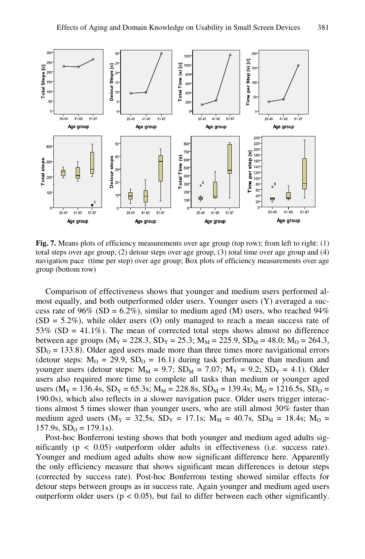

**Fig. 7.** Means plots of efficiency measurements over age group (top row); from left to right: (1) total steps over age group, (2) detour steps over age group, (3) total time over age group and (4) navigation pace (time per step) over age group; Box plots of efficiency measurements over age group (bottom row)

Comparison of effectiveness shows that younger and medium users performed almost equally, and both outperformed older users. Younger users (Y) averaged a success rate of 96% (SD = 6.2%), similar to medium aged (M) users, who reached 94%  $(SD = 5.2\%)$ , while older users (O) only managed to reach a mean success rate of 53% (SD = 41.1%). The mean of corrected total steps shows almost no difference between age groups ( $M_Y = 228.3$ ,  $SD_Y = 25.3$ ;  $M_M = 225.9$ ,  $SD_M = 48.0$ ;  $M_O = 264.3$ ,  $SD<sub>O</sub> = 133.8$ ). Older aged users made more than three times more navigational errors (detour steps:  $M_0 = 29.9$ ,  $SD_0 = 16.1$ ) during task performance than medium and younger users (detour steps:  $M_M = 9.7$ ;  $SD_M = 7.07$ ;  $M_Y = 9.2$ ;  $SD_Y = 4.1$ ). Older users also required more time to complete all tasks than medium or younger aged users ( $M_Y = 136.4s$ ,  $SD_Y = 65.3s$ ;  $M_M = 228.8s$ ,  $SD_M = 139.4s$ ;  $M_O = 1216.5s$ ,  $SD_O =$ 190.0s), which also reflects in a slower navigation pace. Older users trigger interactions almost 5 times slower than younger users, who are still almost 30% faster than medium aged users ( $M_Y = 32.5$ s,  $SD_Y = 17.1$ s;  $M_M = 40.7$ s,  $SD_M = 18.4$ s;  $M_O =$  $157.9s$ ,  $SD<sub>O</sub> = 179.1s$ .

Post-hoc Bonferroni testing shows that both younger and medium aged adults significantly ( $p < 0.05$ ) outperform older adults in effectiveness (i.e. success rate). Younger and medium aged adults show now significant difference here. Apparently the only efficiency measure that shows significant mean differences is detour steps (corrected by success rate). Post-hoc Bonferroni testing showed similar effects for detour steps between groups as in success rate. Again younger and medium aged users outperform older users  $(p < 0.05)$ , but fail to differ between each other significantly.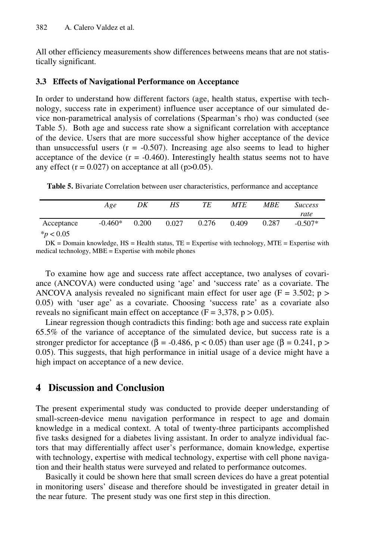All other efficiency measurements show differences betweens means that are not statistically significant.

#### **3.3 Effects of Navigational Performance on Acceptance**

In order to understand how different factors (age, health status, expertise with technology, success rate in experiment) influence user acceptance of our simulated device non-parametrical analysis of correlations (Spearman's rho) was conducted (see Table 5). Both age and success rate show a significant correlation with acceptance of the device. Users that are more successful show higher acceptance of the device than unsuccessful users  $(r = -0.507)$ . Increasing age also seems to lead to higher acceptance of the device  $(r = -0.460)$ . Interestingly health status seems not to have any effect  $(r = 0.027)$  on acceptance at all  $(p>0.05)$ .

**Table 5.** Bivariate Correlation between user characteristics, performance and acceptance

|                | Age       | DK    | HS    | ТE    | MTE   | MBE   | Success   |
|----------------|-----------|-------|-------|-------|-------|-------|-----------|
|                |           |       |       |       |       |       | rate      |
| Acceptance     | $-0.460*$ | 0.200 | 0.027 | 0.276 | 0.409 | 0.287 | $-0.507*$ |
| $*_{p}$ < 0.05 |           |       |       |       |       |       |           |

 $DK = Domain$  knowledge,  $HS = Health$  status,  $TE = Expertise$  with technology,  $MTE = Expertise$  with medical technology, MBE = Expertise with mobile phones

To examine how age and success rate affect acceptance, two analyses of covariance (ANCOVA) were conducted using 'age' and 'success rate' as a covariate. The ANCOVA analysis revealed no significant main effect for user age ( $F = 3.502$ ; p > 0.05) with 'user age' as a covariate. Choosing 'success rate' as a covariate also reveals no significant main effect on acceptance  $(F = 3,378, p > 0.05)$ .

Linear regression though contradicts this finding: both age and success rate explain 65.5% of the variance of acceptance of the simulated device, but success rate is a stronger predictor for acceptance ( $\beta$  = -0.486, p < 0.05) than user age ( $\beta$  = 0.241, p > 0.05). This suggests, that high performance in initial usage of a device might have a high impact on acceptance of a new device.

## **4 Discussion and Conclusion**

The present experimental study was conducted to provide deeper understanding of small-screen-device menu navigation performance in respect to age and domain knowledge in a medical context. A total of twenty-three participants accomplished five tasks designed for a diabetes living assistant. In order to analyze individual factors that may differentially affect user's performance, domain knowledge, expertise with technology, expertise with medical technology, expertise with cell phone navigation and their health status were surveyed and related to performance outcomes.

Basically it could be shown here that small screen devices do have a great potential in monitoring users' disease and therefore should be investigated in greater detail in the near future. The present study was one first step in this direction.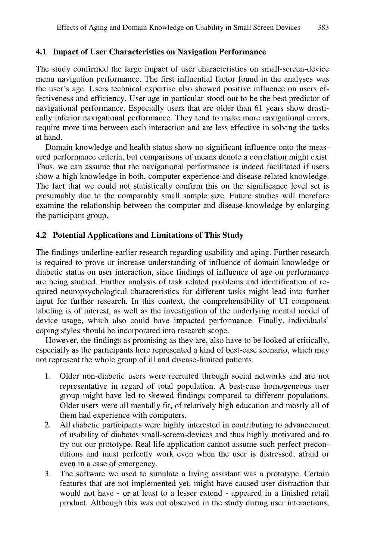### **4.1 Impact of User Characteristics on Navigation Performance**

The study confirmed the large impact of user characteristics on small-screen-device menu navigation performance. The first influential factor found in the analyses was the user's age. Users technical expertise also showed positive influence on users effectiveness and efficiency. User age in particular stood out to be the best predictor of navigational performance. Especially users that are older than 61 years show drastically inferior navigational performance. They tend to make more navigational errors, require more time between each interaction and are less effective in solving the tasks at hand.

Domain knowledge and health status show no significant influence onto the measured performance criteria, but comparisons of means denote a correlation might exist. Thus, we can assume that the navigational performance is indeed facilitated if users show a high knowledge in both, computer experience and disease-related knowledge. The fact that we could not statistically confirm this on the significance level set is presumably due to the comparably small sample size. Future studies will therefore examine the relationship between the computer and disease-knowledge by enlarging the participant group.

### **4.2 Potential Applications and Limitations of This Study**

The findings underline earlier research regarding usability and aging. Further research is required to prove or increase understanding of influence of domain knowledge or diabetic status on user interaction, since findings of influence of age on performance are being studied. Further analysis of task related problems and identification of required neuropsychological characteristics for different tasks might lead into further input for further research. In this context, the comprehensibility of UI component labeling is of interest, as well as the investigation of the underlying mental model of device usage, which also could have impacted performance. Finally, individuals' coping styles should be incorporated into research scope.

However, the findings as promising as they are, also have to be looked at critically, especially as the participants here represented a kind of best-case scenario, which may not represent the whole group of ill and disease-limited patients.

- 1. Older non-diabetic users were recruited through social networks and are not representative in regard of total population. A best-case homogeneous user group might have led to skewed findings compared to different populations. Older users were all mentally fit, of relatively high education and mostly all of them had experience with computers.
- 2. All diabetic participants were highly interested in contributing to advancement of usability of diabetes small-screen-devices and thus highly motivated and to try out our prototype. Real life application cannot assume such perfect preconditions and must perfectly work even when the user is distressed, afraid or even in a case of emergency.
- 3. The software we used to simulate a living assistant was a prototype. Certain features that are not implemented yet, might have caused user distraction that would not have - or at least to a lesser extend - appeared in a finished retail product. Although this was not observed in the study during user interactions,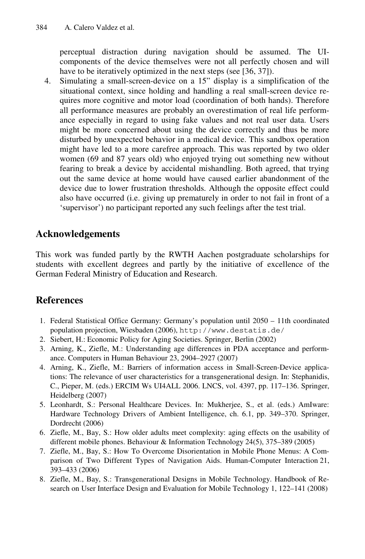perceptual distraction during navigation should be assumed. The UIcomponents of the device themselves were not all perfectly chosen and will have to be iteratively optimized in the next steps (see [36, 37]).

4. Simulating a small-screen-device on a 15" display is a simplification of the situational context, since holding and handling a real small-screen device requires more cognitive and motor load (coordination of both hands). Therefore all performance measures are probably an overestimation of real life performance especially in regard to using fake values and not real user data. Users might be more concerned about using the device correctly and thus be more disturbed by unexpected behavior in a medical device. This sandbox operation might have led to a more carefree approach. This was reported by two older women (69 and 87 years old) who enjoyed trying out something new without fearing to break a device by accidental mishandling. Both agreed, that trying out the same device at home would have caused earlier abandonment of the device due to lower frustration thresholds. Although the opposite effect could also have occurred (i.e. giving up prematurely in order to not fail in front of a 'supervisor') no participant reported any such feelings after the test trial.

# **Acknowledgements**

This work was funded partly by the RWTH Aachen postgraduate scholarships for students with excellent degrees and partly by the initiative of excellence of the German Federal Ministry of Education and Research.

# **References**

- 1. Federal Statistical Office Germany: Germany's population until 2050 11th coordinated population projection, Wiesbaden (2006), http://www.destatis.de/
- 2. Siebert, H.: Economic Policy for Aging Societies. Springer, Berlin (2002)
- 3. Arning, K., Ziefle, M.: Understanding age differences in PDA acceptance and performance. Computers in Human Behaviour 23, 2904–2927 (2007)
- 4. Arning, K., Ziefle, M.: Barriers of information access in Small-Screen-Device applications: The relevance of user characteristics for a transgenerational design. In: Stephanidis, C., Pieper, M. (eds.) ERCIM Ws UI4ALL 2006. LNCS, vol. 4397, pp. 117–136. Springer, Heidelberg (2007)
- 5. Leonhardt, S.: Personal Healthcare Devices. In: Mukherjee, S., et al. (eds.) AmIware: Hardware Technology Drivers of Ambient Intelligence, ch. 6.1, pp. 349–370. Springer, Dordrecht (2006)
- 6. Ziefle, M., Bay, S.: How older adults meet complexity: aging effects on the usability of different mobile phones. Behaviour & Information Technology 24(5), 375–389 (2005)
- 7. Ziefle, M., Bay, S.: How To Overcome Disorientation in Mobile Phone Menus: A Comparison of Two Different Types of Navigation Aids. Human-Computer Interaction 21, 393–433 (2006)
- 8. Ziefle, M., Bay, S.: Transgenerational Designs in Mobile Technology. Handbook of Research on User Interface Design and Evaluation for Mobile Technology 1, 122–141 (2008)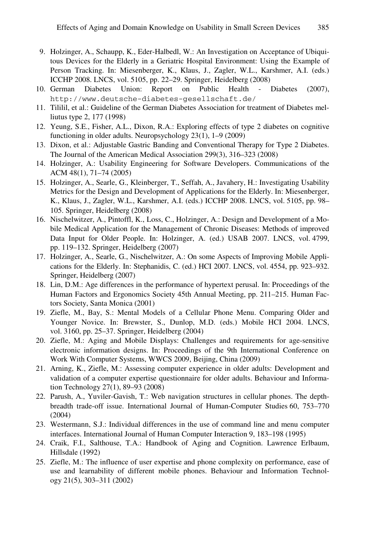- 9. Holzinger, A., Schaupp, K., Eder-Halbedl, W.: An Investigation on Acceptance of Ubiquitous Devices for the Elderly in a Geriatric Hospital Environment: Using the Example of Person Tracking. In: Miesenberger, K., Klaus, J., Zagler, W.L., Karshmer, A.I. (eds.) ICCHP 2008. LNCS, vol. 5105, pp. 22–29. Springer, Heidelberg (2008)
- 10. German Diabetes Union: Report on Public Health Diabetes (2007), http://www.deutsche-diabetes-gesellschaft.de/
- 11. Tililil, et al.: Guideline of the German Diabetes Association for treatment of Diabetes melliutus type 2, 177 (1998)
- 12. Yeung, S.E., Fisher, A.L., Dixon, R.A.: Exploring effects of type 2 diabetes on cognitive functioning in older adults. Neuropsychology 23(1), 1–9 (2009)
- 13. Dixon, et al.: Adjustable Gastric Banding and Conventional Therapy for Type 2 Diabetes. The Journal of the American Medical Association 299(3), 316–323 (2008)
- 14. Holzinger, A.: Usability Engineering for Software Developers. Communications of the ACM 48(1), 71–74 (2005)
- 15. Holzinger, A., Searle, G., Kleinberger, T., Seffah, A., Javahery, H.: Investigating Usability Metrics for the Design and Development of Applications for the Elderly. In: Miesenberger, K., Klaus, J., Zagler, W.L., Karshmer, A.I. (eds.) ICCHP 2008. LNCS, vol. 5105, pp. 98– 105. Springer, Heidelberg (2008)
- 16. Nischelwitzer, A., Pintoffl, K., Loss, C., Holzinger, A.: Design and Development of a Mobile Medical Application for the Management of Chronic Diseases: Methods of improved Data Input for Older People. In: Holzinger, A. (ed.) USAB 2007. LNCS, vol. 4799, pp. 119–132. Springer, Heidelberg (2007)
- 17. Holzinger, A., Searle, G., Nischelwitzer, A.: On some Aspects of Improving Mobile Applications for the Elderly. In: Stephanidis, C. (ed.) HCI 2007. LNCS, vol. 4554, pp. 923–932. Springer, Heidelberg (2007)
- 18. Lin, D.M.: Age differences in the performance of hypertext perusal. In: Proceedings of the Human Factors and Ergonomics Society 45th Annual Meeting, pp. 211–215. Human Factors Society, Santa Monica (2001)
- 19. Ziefle, M., Bay, S.: Mental Models of a Cellular Phone Menu. Comparing Older and Younger Novice. In: Brewster, S., Dunlop, M.D. (eds.) Mobile HCI 2004. LNCS, vol. 3160, pp. 25–37. Springer, Heidelberg (2004)
- 20. Ziefle, M.: Aging and Mobile Displays: Challenges and requirements for age-sensitive electronic information designs. In: Proceedings of the 9th International Conference on Work With Computer Systems, WWCS 2009, Beijing, China (2009)
- 21. Arning, K., Ziefle, M.: Assessing computer experience in older adults: Development and validation of a computer expertise questionnaire for older adults. Behaviour and Information Technology 27(1), 89–93 (2008)
- 22. Parush, A., Yuviler-Gavish, T.: Web navigation structures in cellular phones. The depthbreadth trade-off issue. International Journal of Human-Computer Studies 60, 753–770 (2004)
- 23. Westermann, S.J.: Individual differences in the use of command line and menu computer interfaces. International Journal of Human Computer Interaction 9, 183–198 (1995)
- 24. Craik, F.I., Salthouse, T.A.: Handbook of Aging and Cognition. Lawrence Erlbaum, Hillsdale (1992)
- 25. Ziefle, M.: The influence of user expertise and phone complexity on performance, ease of use and learnability of different mobile phones. Behaviour and Information Technology 21(5), 303–311 (2002)